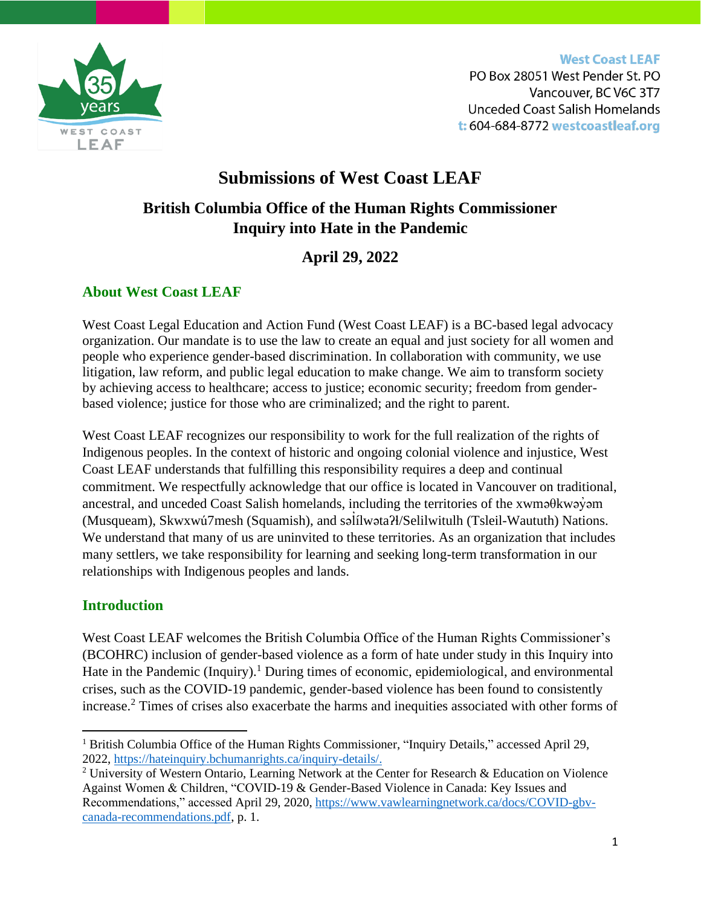WEST COAST LEAF

**West Coast LEAF** PO Box 28051 West Pender St. PO Vancouver, BC V6C 3T7 **Unceded Coast Salish Homelands** t: 604-684-8772 westcoastleaf.org

# **Submissions of West Coast LEAF British Columbia Office of the Human Rights Commissioner Inquiry into Hate in the Pandemic**

## **April 29, 2022**

## **About West Coast LEAF**

West Coast Legal Education and Action Fund (West Coast LEAF) is a BC-based legal advocacy organization. Our mandate is to use the law to create an equal and just society for all women and people who experience gender-based discrimination. In collaboration with community, we use litigation, law reform, and public legal education to make change. We aim to transform society by achieving access to healthcare; access to justice; economic security; freedom from genderbased violence; justice for those who are criminalized; and the right to parent.

West Coast LEAF recognizes our responsibility to work for the full realization of the rights of Indigenous peoples. In the context of historic and ongoing colonial violence and injustice, West Coast LEAF understands that fulfilling this responsibility requires a deep and continual commitment. We respectfully acknowledge that our office is located in Vancouver on traditional, ancestral, and unceded Coast Salish homelands, including the territories of the xwmə $\theta$ kwəy $\theta$ m (Musqueam), Skwxwú7mesh (Squamish), and səlílwəta?l/Selilwitulh (Tsleil-Waututh) Nations. ̓ We understand that many of us are uninvited to these territories. As an organization that includes many settlers, we take responsibility for learning and seeking long-term transformation in our relationships with Indigenous peoples and lands.

#### **Introduction**

West Coast LEAF welcomes the British Columbia Office of the Human Rights Commissioner's (BCOHRC) inclusion of gender-based violence as a form of hate under study in this Inquiry into Hate in the Pandemic (Inquiry).<sup>1</sup> During times of economic, epidemiological, and environmental crises, such as the COVID-19 pandemic, gender-based violence has been found to consistently increase.<sup>2</sup> Times of crises also exacerbate the harms and inequities associated with other forms of

<sup>&</sup>lt;sup>1</sup> British Columbia Office of the Human Rights Commissioner, "Inquiry Details," accessed April 29, 2022, [https://hateinquiry.bchumanrights.ca/inquiry-details/.](https://hateinquiry.bchumanrights.ca/inquiry-details/)

<sup>2</sup> University of Western Ontario, Learning Network at the Center for Research & Education on Violence Against Women & Children, "COVID-19 & Gender-Based Violence in Canada: Key Issues and Recommendations," accessed April 29, 2020, [https://www.vawlearningnetwork.ca/docs/COVID-gbv](https://www.vawlearningnetwork.ca/docs/COVID-gbv-canada-recommendations.pdf)[canada-recommendations.pdf,](https://www.vawlearningnetwork.ca/docs/COVID-gbv-canada-recommendations.pdf) p. 1.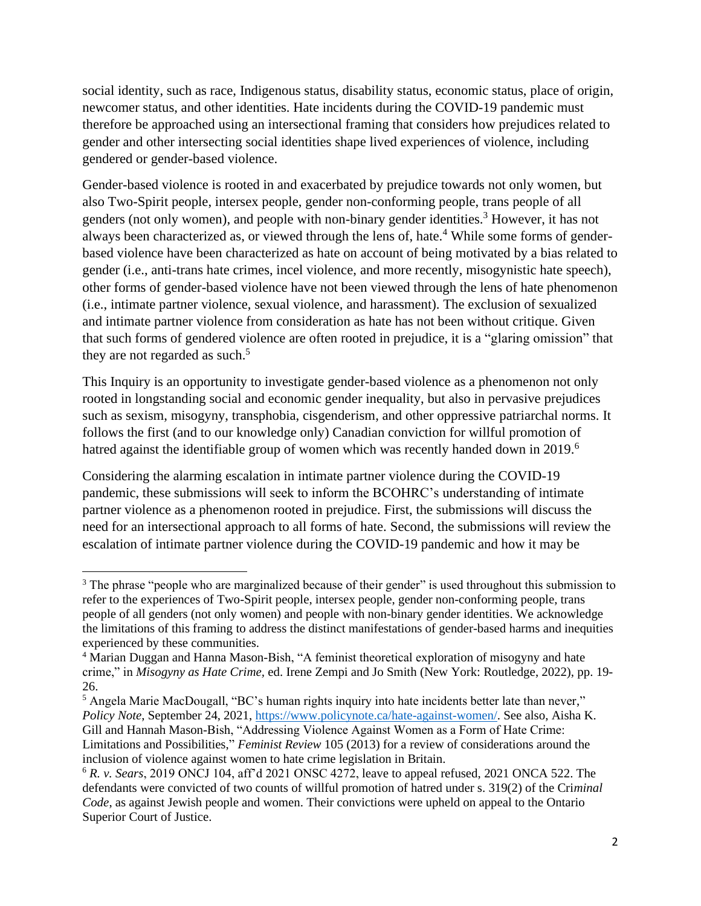social identity, such as race, Indigenous status, disability status, economic status, place of origin, newcomer status, and other identities. Hate incidents during the COVID-19 pandemic must therefore be approached using an intersectional framing that considers how prejudices related to gender and other intersecting social identities shape lived experiences of violence, including gendered or gender-based violence.

Gender-based violence is rooted in and exacerbated by prejudice towards not only women, but also Two-Spirit people, intersex people, gender non-conforming people, trans people of all genders (not only women), and people with non-binary gender identities.<sup>3</sup> However, it has not always been characterized as, or viewed through the lens of, hate. <sup>4</sup> While some forms of genderbased violence have been characterized as hate on account of being motivated by a bias related to gender (i.e., anti-trans hate crimes, incel violence, and more recently, misogynistic hate speech), other forms of gender-based violence have not been viewed through the lens of hate phenomenon (i.e., intimate partner violence, sexual violence, and harassment). The exclusion of sexualized and intimate partner violence from consideration as hate has not been without critique. Given that such forms of gendered violence are often rooted in prejudice, it is a "glaring omission" that they are not regarded as such.<sup>5</sup>

This Inquiry is an opportunity to investigate gender-based violence as a phenomenon not only rooted in longstanding social and economic gender inequality, but also in pervasive prejudices such as sexism, misogyny, transphobia, cisgenderism, and other oppressive patriarchal norms. It follows the first (and to our knowledge only) Canadian conviction for willful promotion of hatred against the identifiable group of women which was recently handed down in 2019.<sup>6</sup>

Considering the alarming escalation in intimate partner violence during the COVID-19 pandemic, these submissions will seek to inform the BCOHRC's understanding of intimate partner violence as a phenomenon rooted in prejudice. First, the submissions will discuss the need for an intersectional approach to all forms of hate. Second, the submissions will review the escalation of intimate partner violence during the COVID-19 pandemic and how it may be

<sup>&</sup>lt;sup>3</sup> The phrase "people who are marginalized because of their gender" is used throughout this submission to refer to the experiences of Two-Spirit people, intersex people, gender non-conforming people, trans people of all genders (not only women) and people with non-binary gender identities. We acknowledge the limitations of this framing to address the distinct manifestations of gender-based harms and inequities experienced by these communities.

<sup>&</sup>lt;sup>4</sup> Marian Duggan and Hanna Mason-Bish, "A feminist theoretical exploration of misogyny and hate crime," in *Misogyny as Hate Crime,* ed. Irene Zempi and Jo Smith (New York: Routledge, 2022), pp. 19- 26.

<sup>&</sup>lt;sup>5</sup> Angela Marie MacDougall, "BC's human rights inquiry into hate incidents better late than never," *Policy Note*, September 24, 2021, [https://www.policynote.ca/hate-against-women/.](https://www.policynote.ca/hate-against-women/) See also, Aisha K. Gill and Hannah Mason-Bish, "Addressing Violence Against Women as a Form of Hate Crime: Limitations and Possibilities," *Feminist Review* 105 (2013) for a review of considerations around the inclusion of violence against women to hate crime legislation in Britain.

<sup>6</sup> *R. v. Sears*, 2019 ONCJ 104, aff'd 2021 ONSC 4272, leave to appeal refused, 2021 ONCA 522. The defendants were convicted of two counts of willful promotion of hatred under s. 319(2) of the Cri*minal Code*, as against Jewish people and women. Their convictions were upheld on appeal to the Ontario Superior Court of Justice.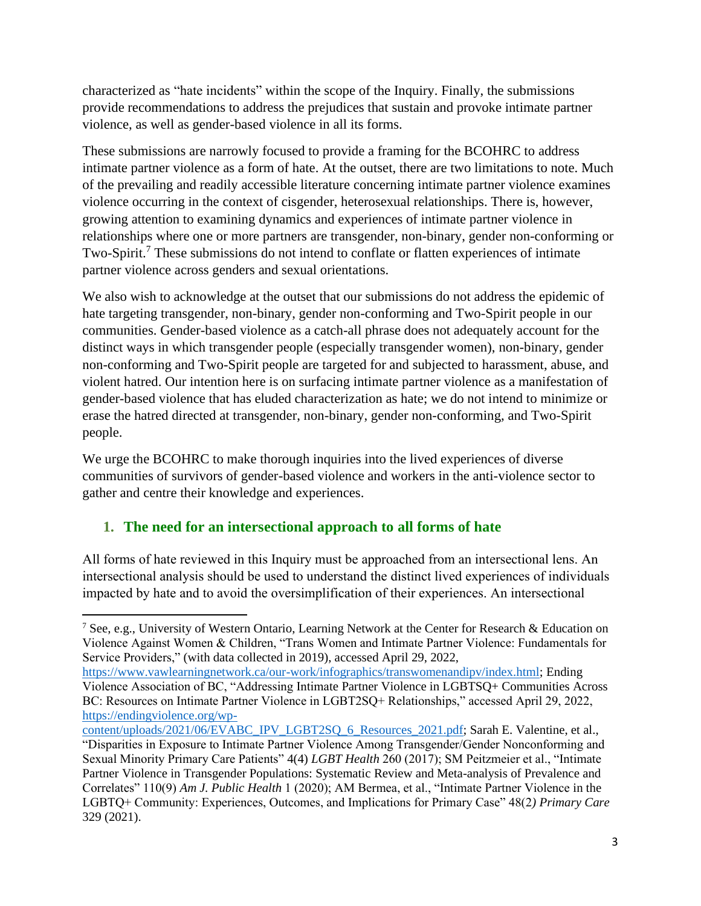characterized as "hate incidents" within the scope of the Inquiry. Finally, the submissions provide recommendations to address the prejudices that sustain and provoke intimate partner violence, as well as gender-based violence in all its forms.

These submissions are narrowly focused to provide a framing for the BCOHRC to address intimate partner violence as a form of hate. At the outset, there are two limitations to note. Much of the prevailing and readily accessible literature concerning intimate partner violence examines violence occurring in the context of cisgender, heterosexual relationships. There is, however, growing attention to examining dynamics and experiences of intimate partner violence in relationships where one or more partners are transgender, non-binary, gender non-conforming or Two-Spirit.<sup>7</sup> These submissions do not intend to conflate or flatten experiences of intimate partner violence across genders and sexual orientations.

We also wish to acknowledge at the outset that our submissions do not address the epidemic of hate targeting transgender, non-binary, gender non-conforming and Two-Spirit people in our communities. Gender-based violence as a catch-all phrase does not adequately account for the distinct ways in which transgender people (especially transgender women), non-binary, gender non-conforming and Two-Spirit people are targeted for and subjected to harassment, abuse, and violent hatred. Our intention here is on surfacing intimate partner violence as a manifestation of gender-based violence that has eluded characterization as hate; we do not intend to minimize or erase the hatred directed at transgender, non-binary, gender non-conforming, and Two-Spirit people.

We urge the BCOHRC to make thorough inquiries into the lived experiences of diverse communities of survivors of gender-based violence and workers in the anti-violence sector to gather and centre their knowledge and experiences.

## **1. The need for an intersectional approach to all forms of hate**

All forms of hate reviewed in this Inquiry must be approached from an intersectional lens. An intersectional analysis should be used to understand the distinct lived experiences of individuals impacted by hate and to avoid the oversimplification of their experiences. An intersectional

<sup>7</sup> See, e.g., University of Western Ontario, Learning Network at the Center for Research & Education on Violence Against Women & Children, "Trans Women and Intimate Partner Violence: Fundamentals for Service Providers," (with data collected in 2019), accessed April 29, 2022,

[https://www.vawlearningnetwork.ca/our-work/infographics/transwomenandipv/index.html;](https://www.vawlearningnetwork.ca/our-work/infographics/transwomenandipv/index.html) Ending Violence Association of BC, "Addressing Intimate Partner Violence in LGBTSQ+ Communities Across BC: Resources on Intimate Partner Violence in LGBT2SQ+ Relationships," accessed April 29, 2022, [https://endingviolence.org/wp-](https://endingviolence.org/wp-content/uploads/2021/06/EVABC_IPV_LGBT2SQ_6_Resources_2021.pdf)

[content/uploads/2021/06/EVABC\\_IPV\\_LGBT2SQ\\_6\\_Resources\\_2021.pdf;](https://endingviolence.org/wp-content/uploads/2021/06/EVABC_IPV_LGBT2SQ_6_Resources_2021.pdf) Sarah E. Valentine, et al., "Disparities in Exposure to Intimate Partner Violence Among Transgender/Gender Nonconforming and Sexual Minority Primary Care Patients" 4(4) *LGBT Health* 260 (2017); SM Peitzmeier et al., "Intimate Partner Violence in Transgender Populations: Systematic Review and Meta-analysis of Prevalence and Correlates" 110(9) *Am J. Public Health* 1 (2020); AM Bermea, et al., "Intimate Partner Violence in the LGBTQ+ Community: Experiences, Outcomes, and Implications for Primary Case" 48(2*) Primary Care* 329 (2021).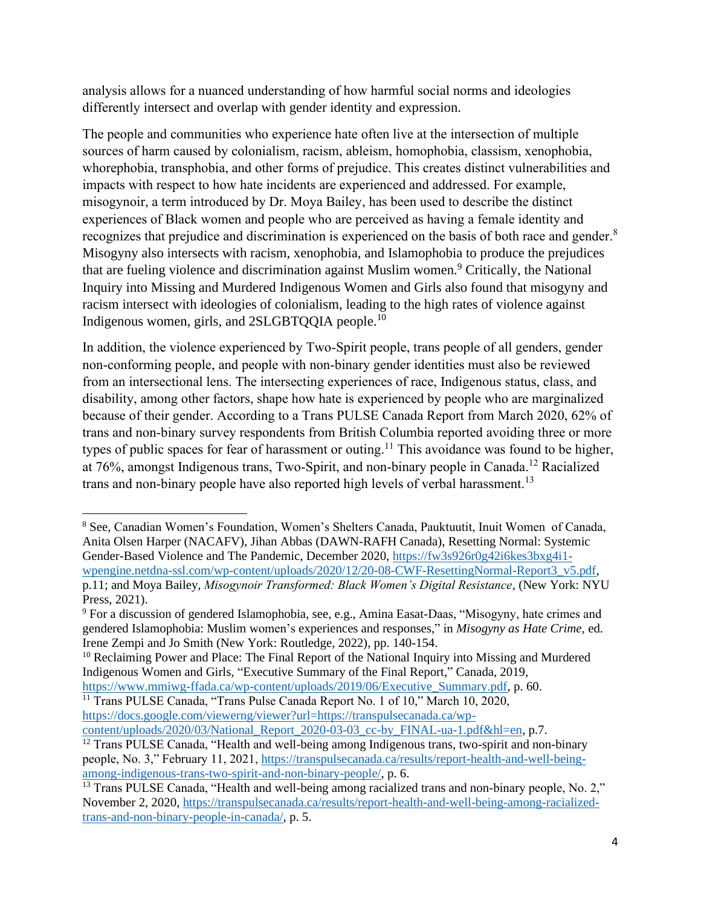analysis allows for a nuanced understanding of how harmful social norms and ideologies differently intersect and overlap with gender identity and expression.

The people and communities who experience hate often live at the intersection of multiple sources of harm caused by colonialism, racism, ableism, homophobia, classism, xenophobia, whorephobia, transphobia, and other forms of prejudice. This creates distinct vulnerabilities and impacts with respect to how hate incidents are experienced and addressed. For example, misogynoir, a term introduced by Dr. Moya Bailey, has been used to describe the distinct experiences of Black women and people who are perceived as having a female identity and recognizes that prejudice and discrimination is experienced on the basis of both race and gender.<sup>8</sup> Misogyny also intersects with racism, xenophobia, and Islamophobia to produce the prejudices that are fueling violence and discrimination against Muslim women.<sup>9</sup> Critically, the National Inquiry into Missing and Murdered Indigenous Women and Girls also found that misogyny and racism intersect with ideologies of colonialism, leading to the high rates of violence against Indigenous women, girls, and 2SLGBTQQIA people.<sup>10</sup>

In addition, the violence experienced by Two-Spirit people, trans people of all genders, gender non-conforming people, and people with non-binary gender identities must also be reviewed from an intersectional lens. The intersecting experiences of race, Indigenous status, class, and disability, among other factors, shape how hate is experienced by people who are marginalized because of their gender. According to a Trans PULSE Canada Report from March 2020, 62% of trans and non-binary survey respondents from British Columbia reported avoiding three or more types of public spaces for fear of harassment or outing.<sup>11</sup> This avoidance was found to be higher, at 76%, amongst Indigenous trans, Two-Spirit, and non-binary people in Canada. <sup>12</sup> Racialized trans and non-binary people have also reported high levels of verbal harassment.<sup>13</sup>

<sup>8</sup> See, Canadian Women's Foundation, Women's Shelters Canada, Pauktuutit, Inuit Women of Canada, Anita Olsen Harper (NACAFV), Jihan Abbas (DAWN-RAFH Canada), Resetting Normal: Systemic Gender-Based Violence and The Pandemic, December 2020, [https://fw3s926r0g42i6kes3bxg4i1](https://fw3s926r0g42i6kes3bxg4i1-wpengine.netdna-ssl.com/wp-content/uploads/2020/12/20-08-CWF-ResettingNormal-Report3_v5.pdf) [wpengine.netdna-ssl.com/wp-content/uploads/2020/12/20-08-CWF-ResettingNormal-Report3\\_v5.pdf,](https://fw3s926r0g42i6kes3bxg4i1-wpengine.netdna-ssl.com/wp-content/uploads/2020/12/20-08-CWF-ResettingNormal-Report3_v5.pdf) p.11; and Moya Bailey, *Misogynoir Transformed: Black Women's Digital Resistance,* (New York: NYU Press, 2021).

<sup>9</sup> For a discussion of gendered Islamophobia, see, e.g., Amina Easat-Daas, "Misogyny, hate crimes and gendered Islamophobia: Muslim women's experiences and responses," in *Misogyny as Hate Crime,* ed. Irene Zempi and Jo Smith (New York: Routledge, 2022), pp. 140-154.

<sup>&</sup>lt;sup>10</sup> Reclaiming Power and Place: The Final Report of the National Inquiry into Missing and Murdered Indigenous Women and Girls, "Executive Summary of the Final Report," Canada, 2019,

[https://www.mmiwg-ffada.ca/wp-content/uploads/2019/06/Executive\\_Summary.pdf,](https://www.mmiwg-ffada.ca/wp-content/uploads/2019/06/Executive_Summary.pdf) p. 60.

<sup>&</sup>lt;sup>11</sup> Trans PULSE Canada, "Trans Pulse Canada Report No. 1 of 10," March 10, 2020, [https://docs.google.com/viewerng/viewer?url=https://transpulsecanada.ca/wp-](https://docs.google.com/viewerng/viewer?url=https://transpulsecanada.ca/wp-content/uploads/2020/03/National_Report_2020-03-03_cc-by_FINAL-ua-1.pdf&hl=en)

[content/uploads/2020/03/National\\_Report\\_2020-03-03\\_cc-by\\_FINAL-ua-1.pdf&hl=en,](https://docs.google.com/viewerng/viewer?url=https://transpulsecanada.ca/wp-content/uploads/2020/03/National_Report_2020-03-03_cc-by_FINAL-ua-1.pdf&hl=en) p.7.

<sup>&</sup>lt;sup>12</sup> Trans PULSE Canada, "Health and well-being among Indigenous trans, two-spirit and non-binary people, No. 3," February 11, 2021, [https://transpulsecanada.ca/results/report-health-and-well-being](https://transpulsecanada.ca/results/report-health-and-well-being-among-indigenous-trans-two-spirit-and-non-binary-people/)[among-indigenous-trans-two-spirit-and-non-binary-people/,](https://transpulsecanada.ca/results/report-health-and-well-being-among-indigenous-trans-two-spirit-and-non-binary-people/) p. 6.

<sup>&</sup>lt;sup>13</sup> Trans PULSE Canada, "Health and well-being among racialized trans and non-binary people, No. 2," November 2, 2020, [https://transpulsecanada.ca/results/report-health-and-well-being-among-racialized](https://transpulsecanada.ca/results/report-health-and-well-being-among-racialized-trans-and-non-binary-people-in-canada/)[trans-and-non-binary-people-in-canada/,](https://transpulsecanada.ca/results/report-health-and-well-being-among-racialized-trans-and-non-binary-people-in-canada/) p. 5.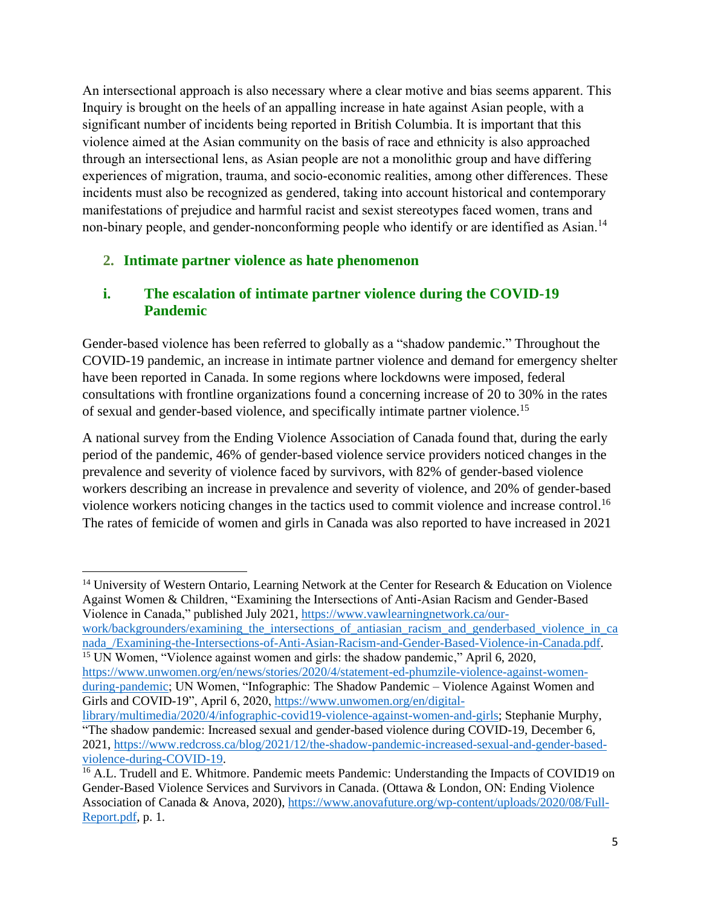An intersectional approach is also necessary where a clear motive and bias seems apparent. This Inquiry is brought on the heels of an appalling increase in hate against Asian people, with a significant number of incidents being reported in British Columbia. It is important that this violence aimed at the Asian community on the basis of race and ethnicity is also approached through an intersectional lens, as Asian people are not a monolithic group and have differing experiences of migration, trauma, and socio-economic realities, among other differences. These incidents must also be recognized as gendered, taking into account historical and contemporary manifestations of prejudice and harmful racist and sexist stereotypes faced women, trans and non-binary people, and gender-nonconforming people who identify or are identified as Asian.<sup>14</sup>

#### **2. Intimate partner violence as hate phenomenon**

## **i. The escalation of intimate partner violence during the COVID-19 Pandemic**

Gender-based violence has been referred to globally as a "shadow pandemic." Throughout the COVID-19 pandemic, an increase in intimate partner violence and demand for emergency shelter have been reported in Canada. In some regions where lockdowns were imposed, federal consultations with frontline organizations found a concerning increase of 20 to 30% in the rates of sexual and gender-based violence, and specifically intimate partner violence. 15

A national survey from the Ending Violence Association of Canada found that, during the early period of the pandemic, 46% of gender-based violence service providers noticed changes in the prevalence and severity of violence faced by survivors, with 82% of gender-based violence workers describing an increase in prevalence and severity of violence, and 20% of gender-based violence workers noticing changes in the tactics used to commit violence and increase control.<sup>16</sup> The rates of femicide of women and girls in Canada was also reported to have increased in 2021

[work/backgrounders/examining\\_the\\_intersections\\_of\\_antiasian\\_racism\\_and\\_genderbased\\_violence\\_in\\_ca](https://www.vawlearningnetwork.ca/our-work/backgrounders/examining_the_intersections_of_antiasian_racism_and_genderbased_violence_in_canada_/Examining-the-Intersections-of-Anti-Asian-Racism-and-Gender-Based-Violence-in-Canada.pdf) [nada\\_/Examining-the-Intersections-of-Anti-Asian-Racism-and-Gender-Based-Violence-in-Canada.pdf.](https://www.vawlearningnetwork.ca/our-work/backgrounders/examining_the_intersections_of_antiasian_racism_and_genderbased_violence_in_canada_/Examining-the-Intersections-of-Anti-Asian-Racism-and-Gender-Based-Violence-in-Canada.pdf) <sup>15</sup> UN Women, "Violence against women and girls: the shadow pandemic," April 6, 2020,

<sup>&</sup>lt;sup>14</sup> University of Western Ontario, Learning Network at the Center for Research & Education on Violence Against Women & Children, "Examining the Intersections of Anti-Asian Racism and Gender-Based Violence in Canada," published July 2021, [https://www.vawlearningnetwork.ca/our-](https://www.vawlearningnetwork.ca/our-work/backgrounders/examining_the_intersections_of_antiasian_racism_and_genderbased_violence_in_canada_/Examining-the-Intersections-of-Anti-Asian-Racism-and-Gender-Based-Violence-in-Canada.pdf)

[https://www.unwomen.org/en/news/stories/2020/4/statement-ed-phumzile-violence-against-women](https://www.unwomen.org/en/news/stories/2020/4/statement-ed-phumzile-violence-against-women-during-pandemic)[during-pandemic;](https://www.unwomen.org/en/news/stories/2020/4/statement-ed-phumzile-violence-against-women-during-pandemic) UN Women, "Infographic: The Shadow Pandemic – Violence Against Women and Girls and COVID-19", April 6, 2020[, https://www.unwomen.org/en/digital-](https://www.unwomen.org/en/digital-library/multimedia/2020/4/infographic-covid19-violence-against-women-and-girls)

[library/multimedia/2020/4/infographic-covid19-violence-against-women-and-girls;](https://www.unwomen.org/en/digital-library/multimedia/2020/4/infographic-covid19-violence-against-women-and-girls) Stephanie Murphy, "The shadow pandemic: Increased sexual and gender-based violence during COVID-19, December 6, 2021, [https://www.redcross.ca/blog/2021/12/the-shadow-pandemic-increased-sexual-and-gender-based](https://www.redcross.ca/blog/2021/12/the-shadow-pandemic-increased-sexual-and-gender-based-violence-during-COVID-19)[violence-during-COVID-19.](https://www.redcross.ca/blog/2021/12/the-shadow-pandemic-increased-sexual-and-gender-based-violence-during-COVID-19)

<sup>&</sup>lt;sup>16</sup> A.L. Trudell and E. Whitmore. Pandemic meets Pandemic: Understanding the Impacts of COVID19 on Gender-Based Violence Services and Survivors in Canada. (Ottawa & London, ON: Ending Violence Association of Canada & Anova, 2020), [https://www.anovafuture.org/wp-content/uploads/2020/08/Full-](https://www.anovafuture.org/wp-content/uploads/2020/08/Full-Report.pdf)[Report.pdf,](https://www.anovafuture.org/wp-content/uploads/2020/08/Full-Report.pdf) p. 1.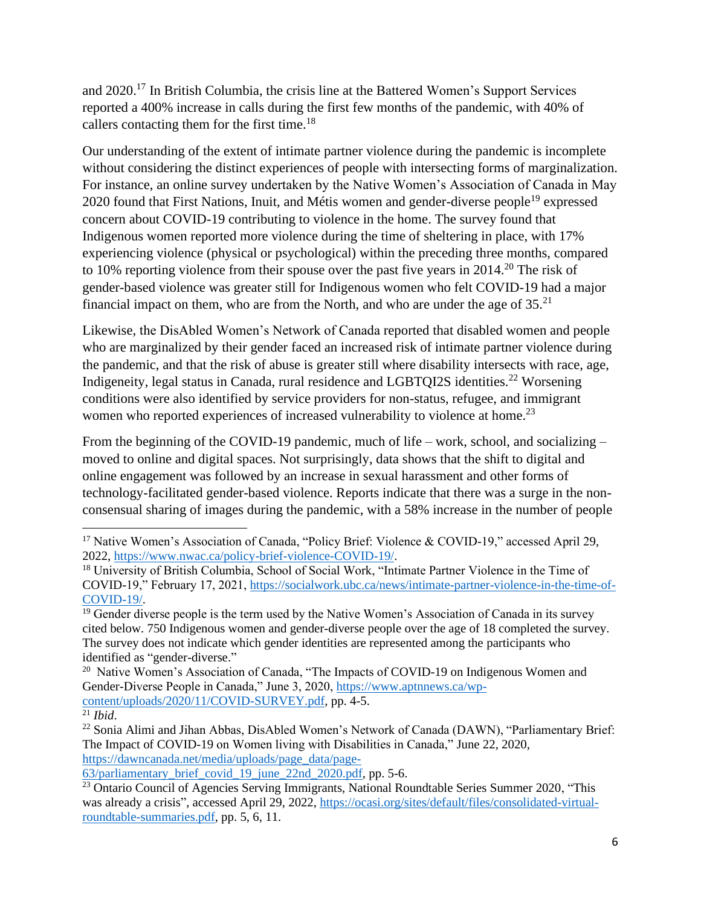and 2020.<sup>17</sup> In British Columbia, the crisis line at the Battered Women's Support Services reported a 400% increase in calls during the first few months of the pandemic, with 40% of callers contacting them for the first time. $18$ 

Our understanding of the extent of intimate partner violence during the pandemic is incomplete without considering the distinct experiences of people with intersecting forms of marginalization. For instance, an online survey undertaken by the Native Women's Association of Canada in May 2020 found that First Nations, Inuit, and Métis women and gender-diverse people<sup>19</sup> expressed concern about COVID-19 contributing to violence in the home. The survey found that Indigenous women reported more violence during the time of sheltering in place, with 17% experiencing violence (physical or psychological) within the preceding three months, compared to 10% reporting violence from their spouse over the past five years in 2014.<sup>20</sup> The risk of gender-based violence was greater still for Indigenous women who felt COVID-19 had a major financial impact on them, who are from the North, and who are under the age of  $35.^{21}$ 

Likewise, the DisAbled Women's Network of Canada reported that disabled women and people who are marginalized by their gender faced an increased risk of intimate partner violence during the pandemic, and that the risk of abuse is greater still where disability intersects with race, age, Indigeneity, legal status in Canada, rural residence and LGBTQI2S identities.<sup>22</sup> Worsening conditions were also identified by service providers for non-status, refugee, and immigrant women who reported experiences of increased vulnerability to violence at home.<sup>23</sup>

From the beginning of the COVID-19 pandemic, much of life – work, school, and socializing – moved to online and digital spaces. Not surprisingly, data shows that the shift to digital and online engagement was followed by an increase in sexual harassment and other forms of technology-facilitated gender-based violence. Reports indicate that there was a surge in the nonconsensual sharing of images during the pandemic, with a 58% increase in the number of people

<sup>&</sup>lt;sup>17</sup> Native Women's Association of Canada, "Policy Brief: Violence & COVID-19," accessed April 29, 2022, [https://www.nwac.ca/policy-brief-violence-COVID-19/.](https://www.nwac.ca/policy-brief-violence-COVID-19/)

<sup>&</sup>lt;sup>18</sup> University of British Columbia, School of Social Work, "Intimate Partner Violence in the Time of COVID-19," February 17, 2021, [https://socialwork.ubc.ca/news/intimate-partner-violence-in-the-time-of-](https://socialwork.ubc.ca/news/intimate-partner-violence-in-the-time-of-COVID-19/)[COVID-19/.](https://socialwork.ubc.ca/news/intimate-partner-violence-in-the-time-of-COVID-19/)

<sup>&</sup>lt;sup>19</sup> Gender diverse people is the term used by the Native Women's Association of Canada in its survey cited below. 750 Indigenous women and gender-diverse people over the age of 18 completed the survey. The survey does not indicate which gender identities are represented among the participants who identified as "gender-diverse."

<sup>&</sup>lt;sup>20</sup> Native Women's Association of Canada, "The Impacts of COVID-19 on Indigenous Women and Gender-Diverse People in Canada," June 3, 2020, [https://www.aptnnews.ca/wp](https://www.aptnnews.ca/wp-content/uploads/2020/11/COVID-SURVEY.pdf)[content/uploads/2020/11/COVID-SURVEY.pdf,](https://www.aptnnews.ca/wp-content/uploads/2020/11/COVID-SURVEY.pdf) pp. 4-5.

 $^{21}$  *Ibid.* 

<sup>22</sup> Sonia Alimi and Jihan Abbas, DisAbled Women's Network of Canada (DAWN), "Parliamentary Brief: The Impact of COVID-19 on Women living with Disabilities in Canada," June 22, 2020, [https://dawncanada.net/media/uploads/page\\_data/page-](https://dawncanada.net/media/uploads/page_data/page-63/parliamentary_brief_covid_19_june_22nd_2020.pdf)

[<sup>63/</sup>parliamentary\\_brief\\_covid\\_19\\_june\\_22nd\\_2020.pdf,](https://dawncanada.net/media/uploads/page_data/page-63/parliamentary_brief_covid_19_june_22nd_2020.pdf) pp. 5-6.

<sup>&</sup>lt;sup>23</sup> Ontario Council of Agencies Serving Immigrants, National Roundtable Series Summer 2020, "This was already a crisis", accessed April 29, 2022, [https://ocasi.org/sites/default/files/consolidated-virtual](https://ocasi.org/sites/default/files/consolidated-virtual-roundtable-summaries.pdf)[roundtable-summaries.pdf,](https://ocasi.org/sites/default/files/consolidated-virtual-roundtable-summaries.pdf) pp. 5, 6, 11.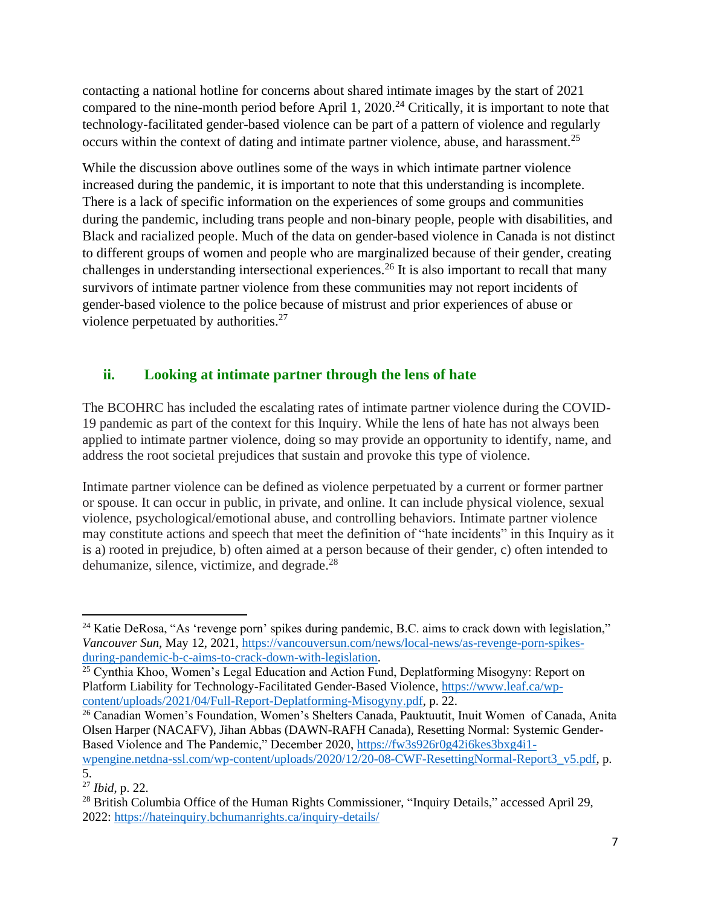contacting a national hotline for concerns about shared intimate images by the start of 2021 compared to the nine-month period before April 1, 2020.<sup>24</sup> Critically, it is important to note that technology-facilitated gender-based violence can be part of a pattern of violence and regularly occurs within the context of dating and intimate partner violence, abuse, and harassment.<sup>25</sup>

While the discussion above outlines some of the ways in which intimate partner violence increased during the pandemic, it is important to note that this understanding is incomplete. There is a lack of specific information on the experiences of some groups and communities during the pandemic, including trans people and non-binary people, people with disabilities, and Black and racialized people. Much of the data on gender-based violence in Canada is not distinct to different groups of women and people who are marginalized because of their gender, creating challenges in understanding intersectional experiences.<sup>26</sup> It is also important to recall that many survivors of intimate partner violence from these communities may not report incidents of gender-based violence to the police because of mistrust and prior experiences of abuse or violence perpetuated by authorities.<sup>27</sup>

## **ii. Looking at intimate partner through the lens of hate**

The BCOHRC has included the escalating rates of intimate partner violence during the COVID-19 pandemic as part of the context for this Inquiry. While the lens of hate has not always been applied to intimate partner violence, doing so may provide an opportunity to identify, name, and address the root societal prejudices that sustain and provoke this type of violence.

Intimate partner violence can be defined as violence perpetuated by a current or former partner or spouse. It can occur in public, in private, and online. It can include physical violence, sexual violence, psychological/emotional abuse, and controlling behaviors. Intimate partner violence may constitute actions and speech that meet the definition of "hate incidents" in this Inquiry as it is a) rooted in prejudice, b) often aimed at a person because of their gender, c) often intended to dehumanize, silence, victimize, and degrade.<sup>28</sup>

<sup>26</sup> Canadian Women's Foundation, Women's Shelters Canada, Pauktuutit, Inuit Women of Canada, Anita Olsen Harper (NACAFV), Jihan Abbas (DAWN-RAFH Canada), Resetting Normal: Systemic Gender-Based Violence and The Pandemic," December 2020, [https://fw3s926r0g42i6kes3bxg4i1](https://fw3s926r0g42i6kes3bxg4i1-wpengine.netdna-ssl.com/wp-content/uploads/2020/12/20-08-CWF-ResettingNormal-Report3_v5.pdf) wpengine.netdna-ssl.com/wp-content/uploads/2020/12/20-08-CWF-ResettingNormal-Report3 v5.pdf, p.

<sup>&</sup>lt;sup>24</sup> Katie DeRosa, "As 'revenge porn' spikes during pandemic, B.C. aims to crack down with legislation," *Vancouver Sun*, May 12, 2021, [https://vancouversun.com/news/local-news/as-revenge-porn-spikes](https://vancouversun.com/news/local-news/as-revenge-porn-spikes-during-pandemic-b-c-aims-to-crack-down-with-legislation)[during-pandemic-b-c-aims-to-crack-down-with-legislation.](https://vancouversun.com/news/local-news/as-revenge-porn-spikes-during-pandemic-b-c-aims-to-crack-down-with-legislation)

<sup>&</sup>lt;sup>25</sup> Cynthia Khoo, Women's Legal Education and Action Fund, Deplatforming Misogyny: Report on Platform Liability for Technology-Facilitated Gender-Based Violence, [https://www.leaf.ca/wp](https://www.leaf.ca/wp-content/uploads/2021/04/Full-Report-Deplatforming-Misogyny.pdf)[content/uploads/2021/04/Full-Report-Deplatforming-Misogyny.pdf,](https://www.leaf.ca/wp-content/uploads/2021/04/Full-Report-Deplatforming-Misogyny.pdf) p. 22.

<sup>5.</sup> <sup>27</sup> *Ibid*, p. 22.

<sup>&</sup>lt;sup>28</sup> British Columbia Office of the Human Rights Commissioner, "Inquiry Details," accessed April 29, 2022:<https://hateinquiry.bchumanrights.ca/inquiry-details/>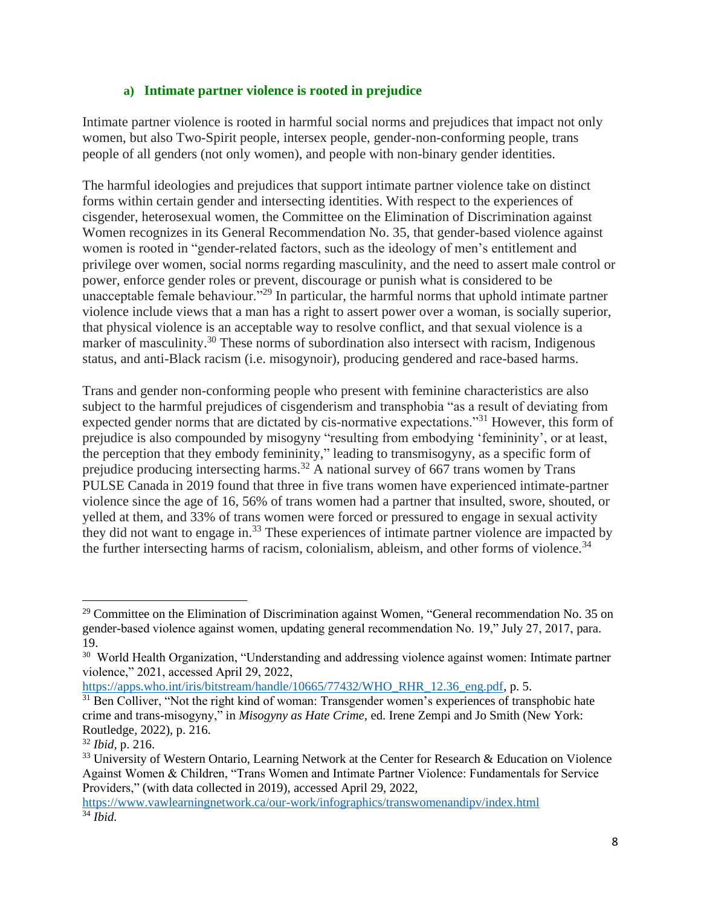#### **a) Intimate partner violence is rooted in prejudice**

Intimate partner violence is rooted in harmful social norms and prejudices that impact not only women, but also Two-Spirit people, intersex people, gender-non-conforming people, trans people of all genders (not only women), and people with non-binary gender identities.

The harmful ideologies and prejudices that support intimate partner violence take on distinct forms within certain gender and intersecting identities. With respect to the experiences of cisgender, heterosexual women, the Committee on the Elimination of Discrimination against Women recognizes in its General Recommendation No. 35, that gender-based violence against women is rooted in "gender-related factors, such as the ideology of men's entitlement and privilege over women, social norms regarding masculinity, and the need to assert male control or power, enforce gender roles or prevent, discourage or punish what is considered to be unacceptable female behaviour."<sup>29</sup> In particular, the harmful norms that uphold intimate partner violence include views that a man has a right to assert power over a woman, is socially superior, that physical violence is an acceptable way to resolve conflict, and that sexual violence is a marker of masculinity.<sup>30</sup> These norms of subordination also intersect with racism, Indigenous status, and anti-Black racism (i.e. misogynoir), producing gendered and race-based harms.

Trans and gender non-conforming people who present with feminine characteristics are also subject to the harmful prejudices of cisgenderism and transphobia "as a result of deviating from expected gender norms that are dictated by cis-normative expectations."<sup>31</sup> However, this form of prejudice is also compounded by misogyny "resulting from embodying 'femininity', or at least, the perception that they embody femininity," leading to transmisogyny, as a specific form of prejudice producing intersecting harms.<sup>32</sup> A national survey of 667 trans women by Trans PULSE Canada in 2019 found that three in five trans women have experienced intimate-partner violence since the age of 16, 56% of trans women had a partner that insulted, swore, shouted, or yelled at them, and 33% of trans women were forced or pressured to engage in sexual activity they did not want to engage in.<sup>33</sup> These experiences of intimate partner violence are impacted by the further intersecting harms of racism, colonialism, ableism, and other forms of violence.<sup>34</sup>

[https://apps.who.int/iris/bitstream/handle/10665/77432/WHO\\_RHR\\_12.36\\_eng.pdf,](https://apps.who.int/iris/bitstream/handle/10665/77432/WHO_RHR_12.36_eng.pdf) p. 5.

<sup>&</sup>lt;sup>29</sup> Committee on the Elimination of Discrimination against Women, "General recommendation No. 35 on gender-based violence against women, updating general recommendation No. 19," July 27, 2017, para. 19.

<sup>&</sup>lt;sup>30</sup> World Health Organization, "Understanding and addressing violence against women: Intimate partner violence," 2021, accessed April 29, 2022,

<sup>&</sup>lt;sup>31</sup> Ben Colliver, "Not the right kind of woman: Transgender women's experiences of transphobic hate crime and trans-misogyny," in *Misogyny as Hate Crime,* ed. Irene Zempi and Jo Smith (New York: Routledge, 2022), p. 216.

<sup>32</sup> *Ibid,* p. 216.

<sup>&</sup>lt;sup>33</sup> University of Western Ontario, Learning Network at the Center for Research & Education on Violence Against Women & Children, "Trans Women and Intimate Partner Violence: Fundamentals for Service Providers," (with data collected in 2019), accessed April 29, 2022,

<https://www.vawlearningnetwork.ca/our-work/infographics/transwomenandipv/index.html> <sup>34</sup> *Ibid.*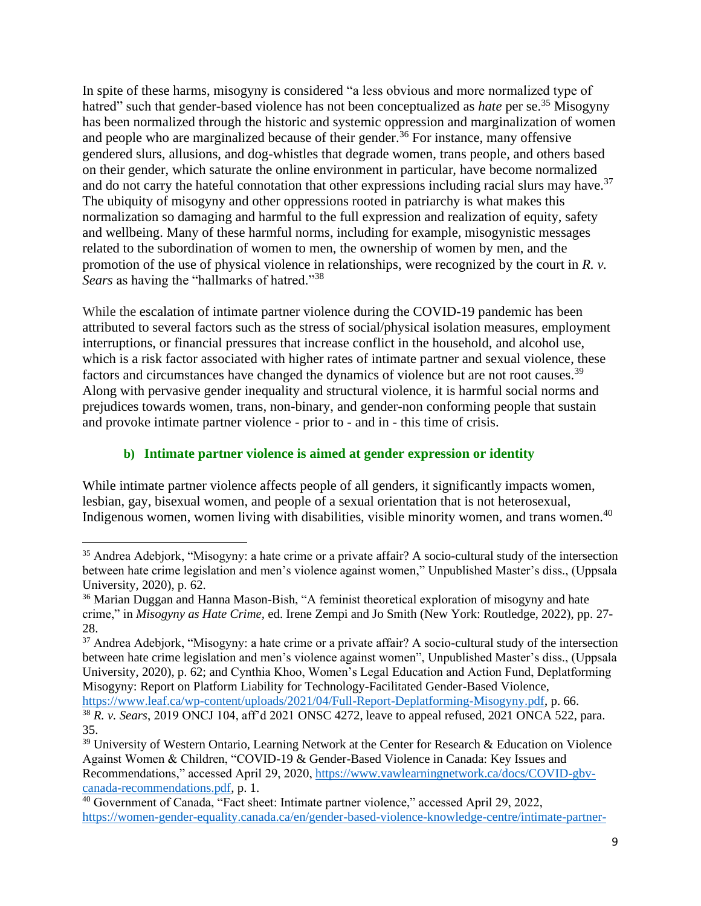In spite of these harms, misogyny is considered "a less obvious and more normalized type of hatred" such that gender-based violence has not been conceptualized as *hate* per se.<sup>35</sup> Misogyny has been normalized through the historic and systemic oppression and marginalization of women and people who are marginalized because of their gender.<sup>36</sup> For instance, many offensive gendered slurs, allusions, and dog-whistles that degrade women, trans people, and others based on their gender, which saturate the online environment in particular, have become normalized and do not carry the hateful connotation that other expressions including racial slurs may have.<sup>37</sup> The ubiquity of misogyny and other oppressions rooted in patriarchy is what makes this normalization so damaging and harmful to the full expression and realization of equity, safety and wellbeing. Many of these harmful norms, including for example, misogynistic messages related to the subordination of women to men, the ownership of women by men, and the promotion of the use of physical violence in relationships, were recognized by the court in *R. v. Sears* as having the "hallmarks of hatred."<sup>38</sup>

While the escalation of intimate partner violence during the COVID-19 pandemic has been attributed to several factors such as the stress of social/physical isolation measures, employment interruptions, or financial pressures that increase conflict in the household, and alcohol use, which is a risk factor associated with higher rates of intimate partner and sexual violence, these factors and circumstances have changed the dynamics of violence but are not root causes.<sup>39</sup> Along with pervasive gender inequality and structural violence, it is harmful social norms and prejudices towards women, trans, non-binary, and gender-non conforming people that sustain and provoke intimate partner violence - prior to - and in - this time of crisis.

#### **b) Intimate partner violence is aimed at gender expression or identity**

While intimate partner violence affects people of all genders, it significantly impacts women, lesbian, gay, bisexual women, and people of a sexual orientation that is not heterosexual, Indigenous women, women living with disabilities, visible minority women, and trans women.<sup>40</sup>

[https://www.leaf.ca/wp-content/uploads/2021/04/Full-Report-Deplatforming-Misogyny.pdf,](https://www.leaf.ca/wp-content/uploads/2021/04/Full-Report-Deplatforming-Misogyny.pdf) p. 66.

<sup>35</sup> Andrea Adebjork, "Misogyny: a hate crime or a private affair? A socio-cultural study of the intersection between hate crime legislation and men's violence against women," Unpublished Master's diss., (Uppsala University, 2020), p. 62.

<sup>&</sup>lt;sup>36</sup> Marian Duggan and Hanna Mason-Bish, "A feminist theoretical exploration of misogyny and hate crime," in *Misogyny as Hate Crime,* ed. Irene Zempi and Jo Smith (New York: Routledge, 2022), pp. 27- 28.

<sup>&</sup>lt;sup>37</sup> Andrea Adebiork, "Misogyny: a hate crime or a private affair? A socio-cultural study of the intersection between hate crime legislation and men's violence against women", Unpublished Master's diss., (Uppsala University, 2020), p. 62; and Cynthia Khoo, Women's Legal Education and Action Fund, Deplatforming Misogyny: Report on Platform Liability for Technology-Facilitated Gender-Based Violence,

<sup>38</sup> *R. v. Sears*, 2019 ONCJ 104, aff'd 2021 ONSC 4272, leave to appeal refused, 2021 ONCA 522, para. 35.

<sup>&</sup>lt;sup>39</sup> University of Western Ontario, Learning Network at the Center for Research & Education on Violence Against Women & Children, "COVID-19 & Gender-Based Violence in Canada: Key Issues and Recommendations," accessed April 29, 2020, [https://www.vawlearningnetwork.ca/docs/COVID-gbv](https://www.vawlearningnetwork.ca/docs/COVID-gbv-canada-recommendations.pdf)[canada-recommendations.pdf,](https://www.vawlearningnetwork.ca/docs/COVID-gbv-canada-recommendations.pdf) p. 1.

<sup>40</sup> Government of Canada, "Fact sheet: Intimate partner violence," accessed April 29, 2022, [https://women-gender-equality.canada.ca/en/gender-based-violence-knowledge-centre/intimate-partner-](https://women-gender-equality.canada.ca/en/gender-based-violence-knowledge-centre/intimate-partner-violence.html)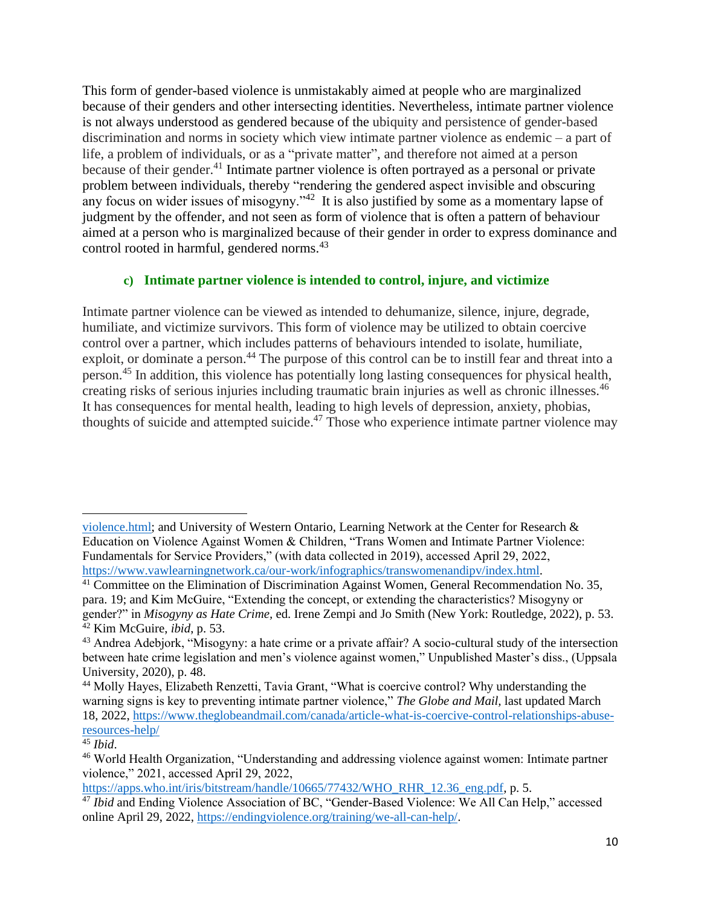This form of gender-based violence is unmistakably aimed at people who are marginalized because of their genders and other intersecting identities. Nevertheless, intimate partner violence is not always understood as gendered because of the ubiquity and persistence of gender-based discrimination and norms in society which view intimate partner violence as endemic – a part of life, a problem of individuals, or as a "private matter", and therefore not aimed at a person because of their gender.<sup>41</sup> Intimate partner violence is often portrayed as a personal or private problem between individuals, thereby "rendering the gendered aspect invisible and obscuring any focus on wider issues of misogyny." $42$  It is also justified by some as a momentary lapse of judgment by the offender, and not seen as form of violence that is often a pattern of behaviour aimed at a person who is marginalized because of their gender in order to express dominance and control rooted in harmful, gendered norms. 43

#### **c) Intimate partner violence is intended to control, injure, and victimize**

Intimate partner violence can be viewed as intended to dehumanize, silence, injure, degrade, humiliate, and victimize survivors. This form of violence may be utilized to obtain coercive control over a partner, which includes patterns of behaviours intended to isolate, humiliate, exploit, or dominate a person.<sup>44</sup> The purpose of this control can be to instill fear and threat into a person.<sup>45</sup> In addition, this violence has potentially long lasting consequences for physical health, creating risks of serious injuries including traumatic brain injuries as well as chronic illnesses.<sup>46</sup> It has consequences for mental health, leading to high levels of depression, anxiety, phobias, thoughts of suicide and attempted suicide.<sup>47</sup> Those who experience intimate partner violence may

[https://apps.who.int/iris/bitstream/handle/10665/77432/WHO\\_RHR\\_12.36\\_eng.pdf,](https://apps.who.int/iris/bitstream/handle/10665/77432/WHO_RHR_12.36_eng.pdf) p. 5.

[violence.html;](https://women-gender-equality.canada.ca/en/gender-based-violence-knowledge-centre/intimate-partner-violence.html) and University of Western Ontario, Learning Network at the Center for Research & Education on Violence Against Women & Children, "Trans Women and Intimate Partner Violence: Fundamentals for Service Providers," (with data collected in 2019), accessed April 29, 2022, [https://www.vawlearningnetwork.ca/our-work/infographics/transwomenandipv/index.html.](https://www.vawlearningnetwork.ca/our-work/infographics/transwomenandipv/index.html)

<sup>&</sup>lt;sup>41</sup> Committee on the Elimination of Discrimination Against Women, General Recommendation No. 35, para. 19; and Kim McGuire, "Extending the concept, or extending the characteristics? Misogyny or gender?" in *Misogyny as Hate Crime,* ed. Irene Zempi and Jo Smith (New York: Routledge, 2022), p. 53. <sup>42</sup> Kim McGuire, *ibid*, p. 53.

<sup>43</sup> Andrea Adebjork, "Misogyny: a hate crime or a private affair? A socio-cultural study of the intersection between hate crime legislation and men's violence against women," Unpublished Master's diss., (Uppsala University, 2020), p. 48.

<sup>&</sup>lt;sup>44</sup> Molly Hayes, Elizabeth Renzetti, Tavia Grant, "What is coercive control? Why understanding the warning signs is key to preventing intimate partner violence," *The Globe and Mail,* last updated March 18, 2022, [https://www.theglobeandmail.com/canada/article-what-is-coercive-control-relationships-abuse](https://www.theglobeandmail.com/canada/article-what-is-coercive-control-relationships-abuse-resources-help/)[resources-help/](https://www.theglobeandmail.com/canada/article-what-is-coercive-control-relationships-abuse-resources-help/)

<sup>45</sup> *Ibid*.

<sup>46</sup> World Health Organization, "Understanding and addressing violence against women: Intimate partner violence," 2021, accessed April 29, 2022,

<sup>&</sup>lt;sup>47</sup> *Ibid* and Ending Violence Association of BC, "Gender-Based Violence: We All Can Help," accessed online April 29, 2022, [https://endingviolence.org/training/we-all-can-help/.](https://endingviolence.org/training/we-all-can-help/)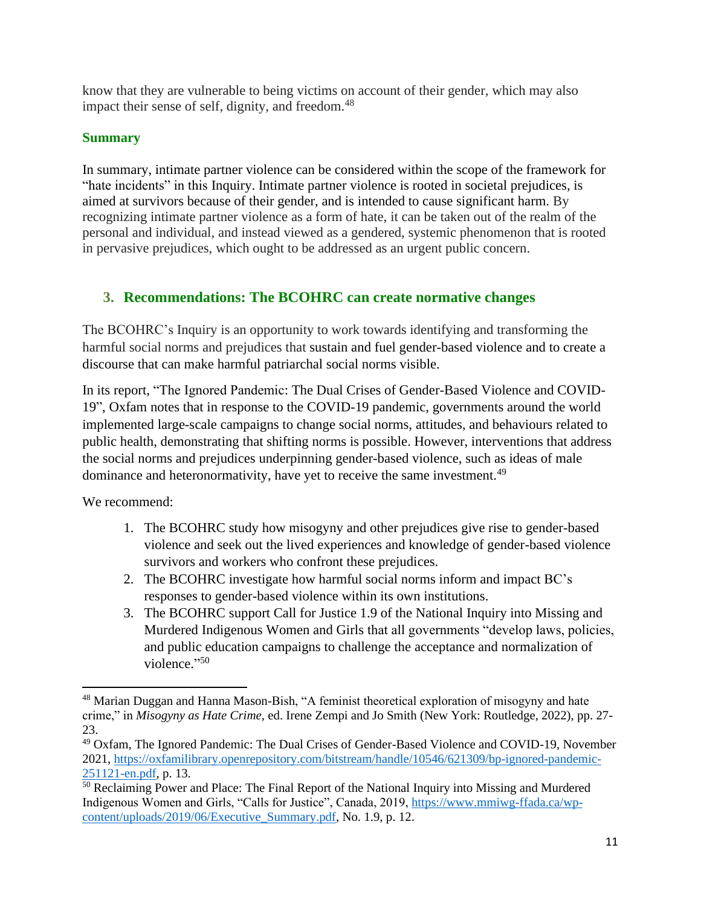know that they are vulnerable to being victims on account of their gender, which may also impact their sense of self, dignity, and freedom.<sup>48</sup>

#### **Summary**

In summary, intimate partner violence can be considered within the scope of the framework for "hate incidents" in this Inquiry. Intimate partner violence is rooted in societal prejudices, is aimed at survivors because of their gender, and is intended to cause significant harm. By recognizing intimate partner violence as a form of hate, it can be taken out of the realm of the personal and individual, and instead viewed as a gendered, systemic phenomenon that is rooted in pervasive prejudices, which ought to be addressed as an urgent public concern.

### **3. Recommendations: The BCOHRC can create normative changes**

The BCOHRC's Inquiry is an opportunity to work towards identifying and transforming the harmful social norms and prejudices that sustain and fuel gender-based violence and to create a discourse that can make harmful patriarchal social norms visible.

In its report, "The Ignored Pandemic: The Dual Crises of Gender-Based Violence and COVID-19", Oxfam notes that in response to the COVID-19 pandemic, governments around the world implemented large-scale campaigns to change social norms, attitudes, and behaviours related to public health, demonstrating that shifting norms is possible. However, interventions that address the social norms and prejudices underpinning gender-based violence, such as ideas of male dominance and heteronormativity, have yet to receive the same investment.<sup>49</sup>

We recommend:

- 1. The BCOHRC study how misogyny and other prejudices give rise to gender-based violence and seek out the lived experiences and knowledge of gender-based violence survivors and workers who confront these prejudices.
- 2. The BCOHRC investigate how harmful social norms inform and impact BC's responses to gender-based violence within its own institutions.
- 3. The BCOHRC support Call for Justice 1.9 of the National Inquiry into Missing and Murdered Indigenous Women and Girls that all governments "develop laws, policies, and public education campaigns to challenge the acceptance and normalization of violence."<sup>50</sup>

<sup>48</sup> Marian Duggan and Hanna Mason-Bish, "A feminist theoretical exploration of misogyny and hate crime," in *Misogyny as Hate Crime,* ed. Irene Zempi and Jo Smith (New York: Routledge, 2022), pp. 27- 23.

<sup>49</sup> Oxfam, The Ignored Pandemic: The Dual Crises of Gender-Based Violence and COVID-19, November 2021, [https://oxfamilibrary.openrepository.com/bitstream/handle/10546/621309/bp-ignored-pandemic-](https://oxfamilibrary.openrepository.com/bitstream/handle/10546/621309/bp-ignored-pandemic-251121-en.pdf)[251121-en.pdf,](https://oxfamilibrary.openrepository.com/bitstream/handle/10546/621309/bp-ignored-pandemic-251121-en.pdf) p. 13.

<sup>&</sup>lt;sup>50</sup> Reclaiming Power and Place: The Final Report of the National Inquiry into Missing and Murdered Indigenous Women and Girls, "Calls for Justice", Canada, 2019, [https://www.mmiwg-ffada.ca/wp](https://www.mmiwg-ffada.ca/wp-content/uploads/2019/06/Executive_Summary.pdf)[content/uploads/2019/06/Executive\\_Summary.pdf,](https://www.mmiwg-ffada.ca/wp-content/uploads/2019/06/Executive_Summary.pdf) No. 1.9, p. 12.